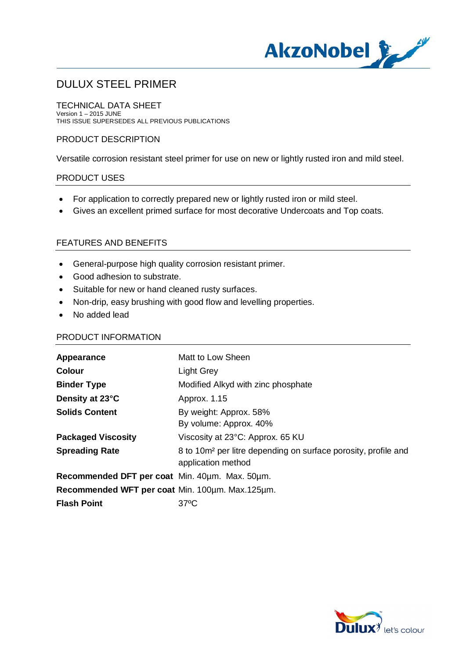

# DULUX STEEL PRIMER

TECHNICAL DATA SHEET Version 1 – 2015 JUNE THIS ISSUE SUPERSEDES ALL PREVIOUS PUBLICATIONS

# PRODUCT DESCRIPTION

Versatile corrosion resistant steel primer for use on new or lightly rusted iron and mild steel.

## PRODUCT USES

- · For application to correctly prepared new or lightly rusted iron or mild steel.
- · Gives an excellent primed surface for most decorative Undercoats and Top coats.

## FEATURES AND BENEFITS

- · General-purpose high quality corrosion resistant primer.
- · Good adhesion to substrate.
- · Suitable for new or hand cleaned rusty surfaces.
- · Non-drip, easy brushing with good flow and levelling properties.
- · No added lead

#### PRODUCT INFORMATION

| Appearance                                      | Matt to Low Sheen                                                                                |
|-------------------------------------------------|--------------------------------------------------------------------------------------------------|
| <b>Colour</b>                                   | Light Grey                                                                                       |
| <b>Binder Type</b>                              | Modified Alkyd with zinc phosphate                                                               |
| Density at 23°C                                 | Approx. 1.15                                                                                     |
| <b>Solids Content</b>                           | By weight: Approx. 58%                                                                           |
|                                                 | By volume: Approx. 40%                                                                           |
| <b>Packaged Viscosity</b>                       | Viscosity at 23°C: Approx. 65 KU                                                                 |
| <b>Spreading Rate</b>                           | 8 to 10m <sup>2</sup> per litre depending on surface porosity, profile and<br>application method |
| Recommended DFT per coat Min. 40um. Max. 50um.  |                                                                                                  |
| Recommended WFT per coat Min. 100um. Max.125um. |                                                                                                  |
| <b>Flash Point</b>                              | $37^{\circ}$ C                                                                                   |

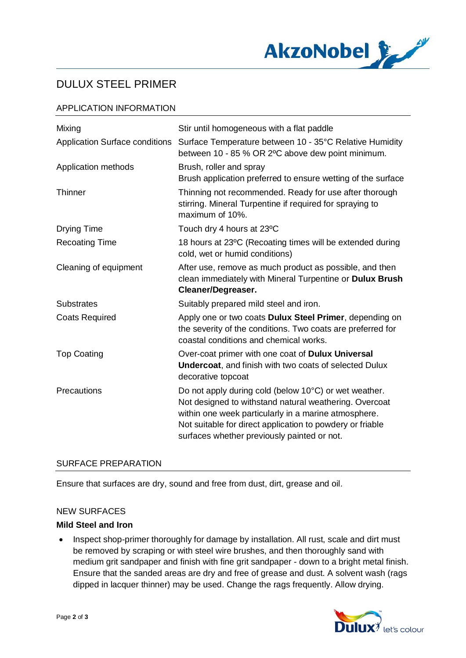

# DULUX STEEL PRIMER

# APPLICATION INFORMATION

| Mixing                                | Stir until homogeneous with a flat paddle                                                                                                                                                                                                                                           |
|---------------------------------------|-------------------------------------------------------------------------------------------------------------------------------------------------------------------------------------------------------------------------------------------------------------------------------------|
| <b>Application Surface conditions</b> | Surface Temperature between 10 - 35°C Relative Humidity<br>between 10 - 85 % OR 2°C above dew point minimum.                                                                                                                                                                        |
| Application methods                   | Brush, roller and spray<br>Brush application preferred to ensure wetting of the surface                                                                                                                                                                                             |
| Thinner                               | Thinning not recommended. Ready for use after thorough<br>stirring. Mineral Turpentine if required for spraying to<br>maximum of 10%.                                                                                                                                               |
| Drying Time                           | Touch dry 4 hours at 23°C                                                                                                                                                                                                                                                           |
| <b>Recoating Time</b>                 | 18 hours at 23°C (Recoating times will be extended during<br>cold, wet or humid conditions)                                                                                                                                                                                         |
| Cleaning of equipment                 | After use, remove as much product as possible, and then<br>clean immediately with Mineral Turpentine or Dulux Brush<br>Cleaner/Degreaser.                                                                                                                                           |
| <b>Substrates</b>                     | Suitably prepared mild steel and iron.                                                                                                                                                                                                                                              |
| <b>Coats Required</b>                 | Apply one or two coats Dulux Steel Primer, depending on<br>the severity of the conditions. Two coats are preferred for<br>coastal conditions and chemical works.                                                                                                                    |
| <b>Top Coating</b>                    | Over-coat primer with one coat of Dulux Universal<br><b>Undercoat, and finish with two coats of selected Dulux</b><br>decorative topcoat                                                                                                                                            |
| Precautions                           | Do not apply during cold (below 10°C) or wet weather.<br>Not designed to withstand natural weathering. Overcoat<br>within one week particularly in a marine atmosphere.<br>Not suitable for direct application to powdery or friable<br>surfaces whether previously painted or not. |

## SURFACE PREPARATION

Ensure that surfaces are dry, sound and free from dust, dirt, grease and oil.

#### NEW SURFACES

## **Mild Steel and Iron**

• Inspect shop-primer thoroughly for damage by installation. All rust, scale and dirt must be removed by scraping or with steel wire brushes, and then thoroughly sand with medium grit sandpaper and finish with fine grit sandpaper - down to a bright metal finish. Ensure that the sanded areas are dry and free of grease and dust. A solvent wash (rags dipped in lacquer thinner) may be used. Change the rags frequently. Allow drying.